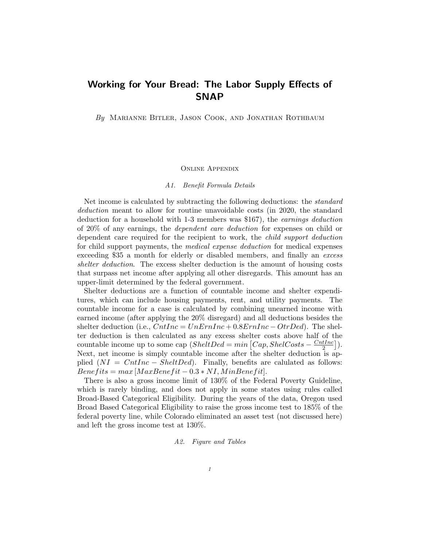## Working for Your Bread: The Labor Supply Effects of SNAP

By MARIANNE BITLER, JASON COOK, AND JONATHAN ROTHBAUM

## Online Appendix

## A1. Benefit Formula Details

Net income is calculated by subtracting the following deductions: the standard deduction meant to allow for routine unavoidable costs (in 2020, the standard deduction for a household with 1-3 members was \$167), the earnings deduction of 20% of any earnings, the dependent care deduction for expenses on child or dependent care required for the recipient to work, the child support deduction for child support payments, the medical expense deduction for medical expenses exceeding \$35 a month for elderly or disabled members, and finally an excess shelter deduction. The excess shelter deduction is the amount of housing costs that surpass net income after applying all other disregards. This amount has an upper-limit determined by the federal government.

Shelter deductions are a function of countable income and shelter expenditures, which can include housing payments, rent, and utility payments. The countable income for a case is calculated by combining unearned income with earned income (after applying the 20% disregard) and all deductions besides the shelter deduction (i.e.,  $CntInc = UnErnInc + 0.8ErnInc - OrtDed$ ). The shelter deduction is then calculated as any excess shelter costs above half of the countable income up to some cap  $(SheltDed = min \left[Cap, ShelCosts - \frac{CntInc}{2} \right])$  $\frac{tInc}{2}\big].$ Next, net income is simply countable income after the shelter deduction is applied  $(NI = CntInc - SheltDed)$ . Finally, benefits are calulated as follows:  $Bene fits = max [MaxBene fit - 0.3 * NI, MinBene fit].$ 

There is also a gross income limit of 130% of the Federal Poverty Guideline, which is rarely binding, and does not apply in some states using rules called Broad-Based Categorical Eligibility. During the years of the data, Oregon used Broad Based Categorical Eligibility to raise the gross income test to 185% of the federal poverty line, while Colorado eliminated an asset test (not discussed here) and left the gross income test at 130%.

## A2. Figure and Tables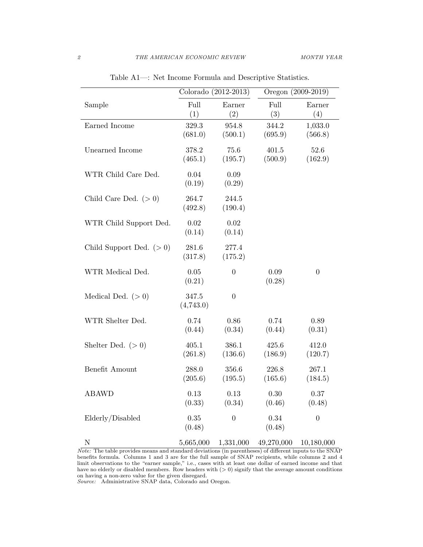|                           | Colorado (2012-2013) |                    | Oregon (2009-2019) |                    |
|---------------------------|----------------------|--------------------|--------------------|--------------------|
| Sample                    | Full<br>(1)          | Earner<br>(2)      | Full<br>(3)        | Earner<br>(4)      |
| Earned Income             | 329.3<br>(681.0)     | 954.8<br>(500.1)   | 344.2<br>(695.9)   | 1,033.0<br>(566.8) |
| Unearned Income           | 378.2<br>(465.1)     | 75.6<br>(195.7)    | 401.5<br>(500.9)   | 52.6<br>(162.9)    |
| WTR Child Care Ded.       | 0.04<br>(0.19)       | $0.09\,$<br>(0.29) |                    |                    |
| Child Care Ded. $(>0)$    | 264.7<br>(492.8)     | 244.5<br>(190.4)   |                    |                    |
| WTR Child Support Ded.    | 0.02<br>(0.14)       | $0.02\,$<br>(0.14) |                    |                    |
| Child Support Ded. $(>0)$ | 281.6<br>(317.8)     | 277.4<br>(175.2)   |                    |                    |
| WTR Medical Ded.          | 0.05<br>(0.21)       | $\boldsymbol{0}$   | 0.09<br>(0.28)     | $\boldsymbol{0}$   |
| Medical Ded. $(>0)$       | 347.5<br>(4,743.0)   | $\boldsymbol{0}$   |                    |                    |
| WTR Shelter Ded.          | 0.74<br>(0.44)       | 0.86<br>(0.34)     | 0.74<br>(0.44)     | 0.89<br>(0.31)     |
| Shelter Ded. $(>0)$       | 405.1<br>(261.8)     | 386.1<br>(136.6)   | 425.6<br>(186.9)   | 412.0<br>(120.7)   |
| Benefit Amount            | 288.0<br>(205.6)     | 356.6<br>(195.5)   | 226.8<br>(165.6)   | 267.1<br>(184.5)   |
| ABAWD                     | 0.13<br>(0.33)       | 0.13<br>(0.34)     | 0.30<br>(0.46)     | 0.37<br>(0.48)     |
| Elderly/Disabled          | $0.35\,$<br>(0.48)   | $\boldsymbol{0}$   | 0.34<br>(0.48)     | $\boldsymbol{0}$   |
| $\mathbf N$               | 5,665,000            | 1,331,000          | 49,270,000         | 10,180,000         |

Table A1—: Net Income Formula and Descriptive Statistics.

Note: The table provides means and standard deviations (in parentheses) of different inputs to the SNAP benefits formula. Columns 1 and 3 are for the full sample of SNAP recipients, while columns 2 and 4 limit observations to the "earner sample," i.e., cases with at least one dollar of earned income and that have no elderly or disabled members. Row headers with  $(> 0)$  signify that the average amount conditions on having a non-zero value for the given disregard.

Source: Administrative SNAP data, Colorado and Oregon.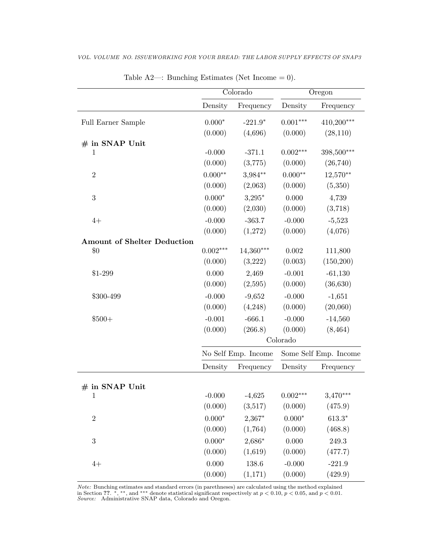| Density<br>Frequency<br>Density<br>Frequency<br>$410,200***$<br>$0.000*$<br>$0.001***$<br>$-221.9*$<br>Full Earner Sample<br>(0.000)<br>(28, 110)<br>(4,696)<br>(0.000)<br># in SNAP Unit<br>398,500***<br>$-0.000$<br>$0.002***$<br>$\mathbf{1}$<br>$-371.1$<br>(0.000)<br>(3,775)<br>(26, 740)<br>(0.000)<br>$0.000**$<br>$3,984**$<br>$0.000**$<br>$12,570**$<br>$\boldsymbol{2}$<br>(0.000)<br>(0.000)<br>(5,350)<br>(2,063)<br>$0.000*$<br>$3,295*$<br>3<br>0.000<br>4,739<br>(0.000)<br>(2,030)<br>(0.000)<br>(3,718)<br>$-0.000$<br>$-363.7$<br>$-0.000$<br>$-5,523$<br>$4+$<br>(4,076)<br>(0.000)<br>(0.000)<br>(1,272)<br><b>Amount of Shelter Deduction</b><br>$0.002***$<br>$14,360***$<br>0.002<br>111,800<br>\$0<br>(150,200)<br>(0.000)<br>(3,222)<br>(0.003)<br>0.000<br>2,469<br>$-0.001$<br>$-61,130$<br>$$1-299$<br>(0.000)<br>(2,595)<br>(0.000)<br>(36, 630)<br>$-0.000$<br>$-0.000$<br>$-9,652$<br>$-1,651$<br>\$300-499<br>(0.000)<br>(4,248)<br>(0.000)<br>(20,060)<br>$-0.001$<br>$-666.1$<br>$-0.000$<br>$$500+$<br>$-14,560$<br>(0.000)<br>(266.8)<br>(0.000)<br>(8, 464)<br>Colorado<br>Some Self Emp. Income<br>No Self Emp. Income<br>Density<br>Frequency<br>Density<br>Frequency<br>$\#$ in SNAP Unit<br>$-0.000$<br>$3,470***$<br>$-4,625$<br>$0.002***$<br>$\mathbf{1}$<br>(0.000)<br>(3,517)<br>(0.000)<br>(475.9)<br>$\sqrt{2}$<br>$0.000*$<br>2,367*<br>$0.000\ensuremath{^*}$<br>$613.3*$<br>(0.000)<br>(0.000)<br>(1,764)<br>(468.8)<br>$2,686*$<br>3<br>$0.000*$<br>0.000<br>249.3<br>(0.000)<br>(1,619)<br>(0.000)<br>(477.7)<br>0.000<br>138.6<br>$-0.000$<br>$-221.9$<br>$4+$ | $\overline{\text{Colorado}}$ |         | Oregon  |         |  |
|-------------------------------------------------------------------------------------------------------------------------------------------------------------------------------------------------------------------------------------------------------------------------------------------------------------------------------------------------------------------------------------------------------------------------------------------------------------------------------------------------------------------------------------------------------------------------------------------------------------------------------------------------------------------------------------------------------------------------------------------------------------------------------------------------------------------------------------------------------------------------------------------------------------------------------------------------------------------------------------------------------------------------------------------------------------------------------------------------------------------------------------------------------------------------------------------------------------------------------------------------------------------------------------------------------------------------------------------------------------------------------------------------------------------------------------------------------------------------------------------------------------------------------------------------------------------------------------------------------------------------|------------------------------|---------|---------|---------|--|
|                                                                                                                                                                                                                                                                                                                                                                                                                                                                                                                                                                                                                                                                                                                                                                                                                                                                                                                                                                                                                                                                                                                                                                                                                                                                                                                                                                                                                                                                                                                                                                                                                         |                              |         |         |         |  |
|                                                                                                                                                                                                                                                                                                                                                                                                                                                                                                                                                                                                                                                                                                                                                                                                                                                                                                                                                                                                                                                                                                                                                                                                                                                                                                                                                                                                                                                                                                                                                                                                                         |                              |         |         |         |  |
|                                                                                                                                                                                                                                                                                                                                                                                                                                                                                                                                                                                                                                                                                                                                                                                                                                                                                                                                                                                                                                                                                                                                                                                                                                                                                                                                                                                                                                                                                                                                                                                                                         |                              |         |         |         |  |
|                                                                                                                                                                                                                                                                                                                                                                                                                                                                                                                                                                                                                                                                                                                                                                                                                                                                                                                                                                                                                                                                                                                                                                                                                                                                                                                                                                                                                                                                                                                                                                                                                         |                              |         |         |         |  |
|                                                                                                                                                                                                                                                                                                                                                                                                                                                                                                                                                                                                                                                                                                                                                                                                                                                                                                                                                                                                                                                                                                                                                                                                                                                                                                                                                                                                                                                                                                                                                                                                                         |                              |         |         |         |  |
|                                                                                                                                                                                                                                                                                                                                                                                                                                                                                                                                                                                                                                                                                                                                                                                                                                                                                                                                                                                                                                                                                                                                                                                                                                                                                                                                                                                                                                                                                                                                                                                                                         |                              |         |         |         |  |
|                                                                                                                                                                                                                                                                                                                                                                                                                                                                                                                                                                                                                                                                                                                                                                                                                                                                                                                                                                                                                                                                                                                                                                                                                                                                                                                                                                                                                                                                                                                                                                                                                         |                              |         |         |         |  |
|                                                                                                                                                                                                                                                                                                                                                                                                                                                                                                                                                                                                                                                                                                                                                                                                                                                                                                                                                                                                                                                                                                                                                                                                                                                                                                                                                                                                                                                                                                                                                                                                                         |                              |         |         |         |  |
|                                                                                                                                                                                                                                                                                                                                                                                                                                                                                                                                                                                                                                                                                                                                                                                                                                                                                                                                                                                                                                                                                                                                                                                                                                                                                                                                                                                                                                                                                                                                                                                                                         |                              |         |         |         |  |
|                                                                                                                                                                                                                                                                                                                                                                                                                                                                                                                                                                                                                                                                                                                                                                                                                                                                                                                                                                                                                                                                                                                                                                                                                                                                                                                                                                                                                                                                                                                                                                                                                         |                              |         |         |         |  |
|                                                                                                                                                                                                                                                                                                                                                                                                                                                                                                                                                                                                                                                                                                                                                                                                                                                                                                                                                                                                                                                                                                                                                                                                                                                                                                                                                                                                                                                                                                                                                                                                                         |                              |         |         |         |  |
|                                                                                                                                                                                                                                                                                                                                                                                                                                                                                                                                                                                                                                                                                                                                                                                                                                                                                                                                                                                                                                                                                                                                                                                                                                                                                                                                                                                                                                                                                                                                                                                                                         |                              |         |         |         |  |
|                                                                                                                                                                                                                                                                                                                                                                                                                                                                                                                                                                                                                                                                                                                                                                                                                                                                                                                                                                                                                                                                                                                                                                                                                                                                                                                                                                                                                                                                                                                                                                                                                         |                              |         |         |         |  |
|                                                                                                                                                                                                                                                                                                                                                                                                                                                                                                                                                                                                                                                                                                                                                                                                                                                                                                                                                                                                                                                                                                                                                                                                                                                                                                                                                                                                                                                                                                                                                                                                                         |                              |         |         |         |  |
|                                                                                                                                                                                                                                                                                                                                                                                                                                                                                                                                                                                                                                                                                                                                                                                                                                                                                                                                                                                                                                                                                                                                                                                                                                                                                                                                                                                                                                                                                                                                                                                                                         |                              |         |         |         |  |
|                                                                                                                                                                                                                                                                                                                                                                                                                                                                                                                                                                                                                                                                                                                                                                                                                                                                                                                                                                                                                                                                                                                                                                                                                                                                                                                                                                                                                                                                                                                                                                                                                         |                              |         |         |         |  |
|                                                                                                                                                                                                                                                                                                                                                                                                                                                                                                                                                                                                                                                                                                                                                                                                                                                                                                                                                                                                                                                                                                                                                                                                                                                                                                                                                                                                                                                                                                                                                                                                                         |                              |         |         |         |  |
|                                                                                                                                                                                                                                                                                                                                                                                                                                                                                                                                                                                                                                                                                                                                                                                                                                                                                                                                                                                                                                                                                                                                                                                                                                                                                                                                                                                                                                                                                                                                                                                                                         |                              |         |         |         |  |
|                                                                                                                                                                                                                                                                                                                                                                                                                                                                                                                                                                                                                                                                                                                                                                                                                                                                                                                                                                                                                                                                                                                                                                                                                                                                                                                                                                                                                                                                                                                                                                                                                         |                              |         |         |         |  |
|                                                                                                                                                                                                                                                                                                                                                                                                                                                                                                                                                                                                                                                                                                                                                                                                                                                                                                                                                                                                                                                                                                                                                                                                                                                                                                                                                                                                                                                                                                                                                                                                                         |                              |         |         |         |  |
|                                                                                                                                                                                                                                                                                                                                                                                                                                                                                                                                                                                                                                                                                                                                                                                                                                                                                                                                                                                                                                                                                                                                                                                                                                                                                                                                                                                                                                                                                                                                                                                                                         |                              |         |         |         |  |
|                                                                                                                                                                                                                                                                                                                                                                                                                                                                                                                                                                                                                                                                                                                                                                                                                                                                                                                                                                                                                                                                                                                                                                                                                                                                                                                                                                                                                                                                                                                                                                                                                         |                              |         |         |         |  |
|                                                                                                                                                                                                                                                                                                                                                                                                                                                                                                                                                                                                                                                                                                                                                                                                                                                                                                                                                                                                                                                                                                                                                                                                                                                                                                                                                                                                                                                                                                                                                                                                                         |                              |         |         |         |  |
|                                                                                                                                                                                                                                                                                                                                                                                                                                                                                                                                                                                                                                                                                                                                                                                                                                                                                                                                                                                                                                                                                                                                                                                                                                                                                                                                                                                                                                                                                                                                                                                                                         |                              |         |         |         |  |
|                                                                                                                                                                                                                                                                                                                                                                                                                                                                                                                                                                                                                                                                                                                                                                                                                                                                                                                                                                                                                                                                                                                                                                                                                                                                                                                                                                                                                                                                                                                                                                                                                         |                              |         |         |         |  |
|                                                                                                                                                                                                                                                                                                                                                                                                                                                                                                                                                                                                                                                                                                                                                                                                                                                                                                                                                                                                                                                                                                                                                                                                                                                                                                                                                                                                                                                                                                                                                                                                                         |                              |         |         |         |  |
|                                                                                                                                                                                                                                                                                                                                                                                                                                                                                                                                                                                                                                                                                                                                                                                                                                                                                                                                                                                                                                                                                                                                                                                                                                                                                                                                                                                                                                                                                                                                                                                                                         |                              |         |         |         |  |
|                                                                                                                                                                                                                                                                                                                                                                                                                                                                                                                                                                                                                                                                                                                                                                                                                                                                                                                                                                                                                                                                                                                                                                                                                                                                                                                                                                                                                                                                                                                                                                                                                         |                              |         |         |         |  |
|                                                                                                                                                                                                                                                                                                                                                                                                                                                                                                                                                                                                                                                                                                                                                                                                                                                                                                                                                                                                                                                                                                                                                                                                                                                                                                                                                                                                                                                                                                                                                                                                                         |                              |         |         |         |  |
|                                                                                                                                                                                                                                                                                                                                                                                                                                                                                                                                                                                                                                                                                                                                                                                                                                                                                                                                                                                                                                                                                                                                                                                                                                                                                                                                                                                                                                                                                                                                                                                                                         |                              |         |         |         |  |
|                                                                                                                                                                                                                                                                                                                                                                                                                                                                                                                                                                                                                                                                                                                                                                                                                                                                                                                                                                                                                                                                                                                                                                                                                                                                                                                                                                                                                                                                                                                                                                                                                         |                              |         |         |         |  |
|                                                                                                                                                                                                                                                                                                                                                                                                                                                                                                                                                                                                                                                                                                                                                                                                                                                                                                                                                                                                                                                                                                                                                                                                                                                                                                                                                                                                                                                                                                                                                                                                                         |                              |         |         |         |  |
|                                                                                                                                                                                                                                                                                                                                                                                                                                                                                                                                                                                                                                                                                                                                                                                                                                                                                                                                                                                                                                                                                                                                                                                                                                                                                                                                                                                                                                                                                                                                                                                                                         | (0.000)                      | (1,171) | (0.000) | (429.9) |  |

VOL. VOLUME NO. ISSUEWORKING FOR YOUR BREAD: THE LABOR SUPPLY EFFECTS OF SNAP3

Table  $A2$ —: Bunching Estimates (Net Income = 0).

Note: Bunching estimates and standard errors (in parethneses) are calculated using the method explained in Section ??. \*, \*\*, and \*\*\* denote statistical significant respectively at  $p < 0.10$ ,  $p < 0.05$ , and  $p < 0.01$ . Source: Administrative SNAP data, Colorado and Oregon.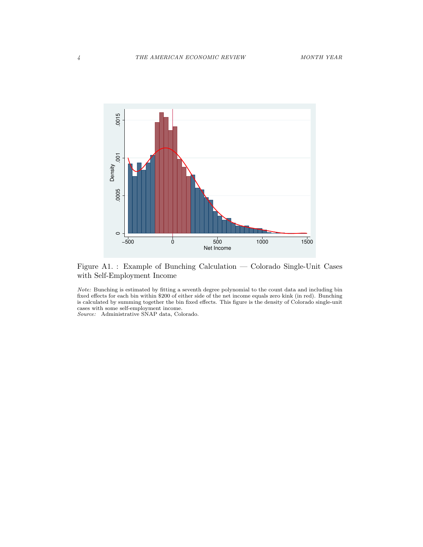

Figure A1. : Example of Bunching Calculation — Colorado Single-Unit Cases with Self-Employment Income

Note: Bunching is estimated by fitting a seventh degree polynomial to the count data and including bin fixed effects for each bin within \$200 of either side of the net income equals zero kink (in red). Bunching is calculated by summing together the bin fixed effects. This figure is the density of Colorado single-unit cases with some self-employment income.

Source: Administrative SNAP data, Colorado.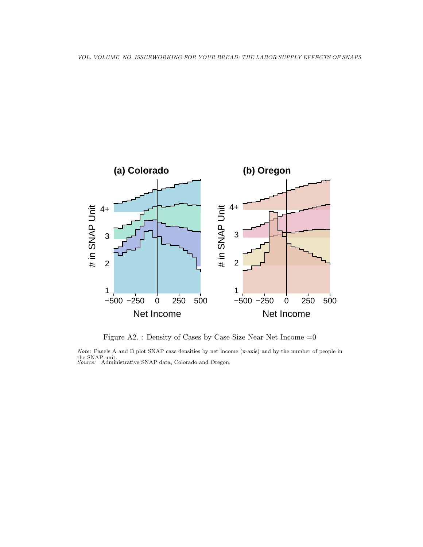

Figure A2. : Density of Cases by Case Size Near Net Income  $=0$ 

Note: Panels A and B plot SNAP case densities by net income (x-axis) and by the number of people in the SNAP unit.<br>Source: Administrative SNAP data, Colorado and Oregon.